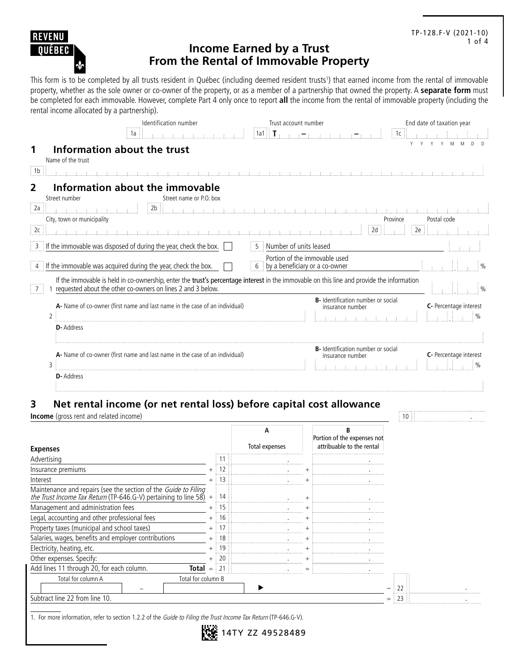

### TP-128.F-V (2021-10) 1 of 4

# **Income Earned by a Trust From the Rental of Immovable Property**

This form is to be completed by all trusts resident in Québec (including deemed resident trusts<sup>1</sup>) that earned income from the rental of immovable property, whether as the sole owner or co-owner of the property, or as a member of a partnership that owned the property. A **separate form** must be completed for each immovable. However, complete Part 4 only once to report **all** the income from the rental of immovable property (including the rental income allocated by a partnership).

|                      | Identification number                                                                                                                                                                                      | Trust account number                                            | End date of taxation year               |
|----------------------|------------------------------------------------------------------------------------------------------------------------------------------------------------------------------------------------------------|-----------------------------------------------------------------|-----------------------------------------|
|                      | 1a                                                                                                                                                                                                         | $1a1 \oplus T$ .                                                | $\parallel$ 1c $\parallel$              |
|                      | Information about the trust<br>Name of the trust                                                                                                                                                           |                                                                 |                                         |
| 1 <sub>b</sub>       |                                                                                                                                                                                                            | a dia ana ana amin'ny fivondronan-paositra dia GMT+1.           |                                         |
| $\overline{2}$<br>2a | Information about the immovable<br>Street name or P.O. box<br>Street number<br>2 <sub>b</sub>                                                                                                              |                                                                 |                                         |
|                      | City, town or municipality                                                                                                                                                                                 |                                                                 | Postal code<br>Province                 |
| $\boxed{2c}$         | with the first material and material and material and material and                                                                                                                                         | 2d                                                              | 2e                                      |
|                      | 3 If the immovable was disposed of during the year, check the box.                                                                                                                                         | Number of units leased<br>5 <sup>1</sup>                        |                                         |
|                      | 4 If the immovable was acquired during the year, check the box.                                                                                                                                            | Portion of the immovable used<br>by a beneficiary or a co-owner |                                         |
|                      | If the immovable is held in co-ownership, enter the trust's percentage interest in the immovable on this line and provide the information<br>1 requested about the other co-owners on lines 2 and 3 below. |                                                                 | $\frac{1}{2}$ %                         |
| $\overline{2}$       | A- Name of co-owner (first name and last name in the case of an individual)                                                                                                                                | B- Identification number or social<br>insurance number          | C- Percentage interest                  |
|                      | D-Address                                                                                                                                                                                                  |                                                                 |                                         |
| 3                    | A- Name of co-owner (first name and last name in the case of an individual)                                                                                                                                | <b>B-</b> Identification number or social<br>insurance number   | C- Percentage interest<br>$\frac{0}{0}$ |
|                      | <b>D</b> -Address                                                                                                                                                                                          |                                                                 |                                         |

## **3 Net rental income (or net rental loss) before capital cost allowance**

**Income** (gross rent and related income) 10 . **In a state of the state of the state of the state of the state of the state of the state of the state of the state of the state of the state of the state of the state of the s** 

| <b>Expenses</b>                                                                                                                        |     |    | Total expenses | Portion of the expenses not<br>attribuable to the rental |
|----------------------------------------------------------------------------------------------------------------------------------------|-----|----|----------------|----------------------------------------------------------|
| Advertising                                                                                                                            |     |    |                |                                                          |
| Insurance premiums                                                                                                                     |     |    |                |                                                          |
| Interest                                                                                                                               |     | 13 |                |                                                          |
| Maintenance and repairs (see the section of the <i>Guide to Filing the Trust Income Tax Return</i> (TP-646.G-V) pertaining to line 58) | $+$ | 14 |                |                                                          |
| Management and administration fees                                                                                                     |     |    |                |                                                          |
| Legal, accounting and other professional fees                                                                                          |     |    |                |                                                          |
| Property taxes (municipal and school taxes)                                                                                            |     |    |                |                                                          |
| Salaries, wages, benefits and employer contributions                                                                                   |     |    |                |                                                          |
| Electricity, heating, etc.                                                                                                             |     |    |                |                                                          |
| Other expenses. Specify:                                                                                                               |     | 20 |                |                                                          |
| Add lines 11 through 20, for each column.<br>Total                                                                                     | $=$ | 21 |                |                                                          |
| Total for column A<br>Total for column B<br>Subtract line 22 from line 10.                                                             |     |    |                |                                                          |

14TY ZZ 49528489

1. For more information, refer to section 1.2.2 of the Guide to Filing the Trust Income Tax Return (TP-646.G-V).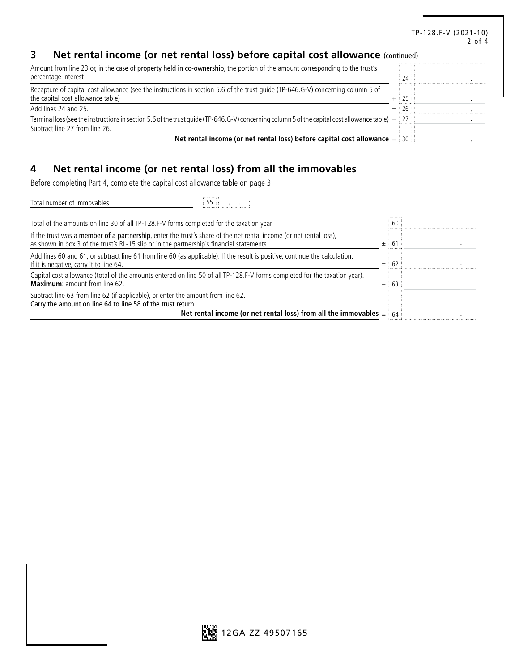#### TP-128.F-V (2021-10) 2 of 4

# **3 Net rental income (or net rental loss) before capital cost allowance** (continued)

| Amount from line 23 or, in the case of property held in co-ownership, the portion of the amount corresponding to the trust's<br>percentage interest                  | $24$ ::      |  |
|----------------------------------------------------------------------------------------------------------------------------------------------------------------------|--------------|--|
| Recapture of capital cost allowance (see the instructions in section 5.6 of the trust quide (TP-646.G-V) concerning column 5 of<br>the capital cost allowance table) | 25::         |  |
| Add lines 24 and 25.                                                                                                                                                 | $=$ 26 $\pm$ |  |
| Terminal loss (see the instructions in section 5.6 of the trust guide (TP-646.G-V) concerning column 5 of the capital cost allowance table) $-$ 27                   |              |  |
| Subtract line 27 from line 26.                                                                                                                                       |              |  |
| Net rental income (or net rental loss) before capital cost allowance $=$ 30                                                                                          |              |  |

# **4 Net rental income (or net rental loss) from all the immovables**

Before completing Part 4, complete the capital cost allowance table on page 3.

| Total number of immovables<br>55 88                                                                                                                                                                                   |           |  |
|-----------------------------------------------------------------------------------------------------------------------------------------------------------------------------------------------------------------------|-----------|--|
| Total of the amounts on line 30 of all TP-128.F-V forms completed for the taxation year                                                                                                                               | $60$ :    |  |
| If the trust was a member of a partnership, enter the trust's share of the net rental income (or net rental loss),<br>as shown in box 3 of the trust's RL-15 slip or in the partnership's financial statements.       | 61<br>$+$ |  |
| Add lines 60 and 61, or subtract line 61 from line 60 (as applicable). If the result is positive, continue the calculation.<br>If it is negative, carry it to line 64.                                                | 62<br>$=$ |  |
| Capital cost allowance (total of the amounts entered on line 50 of all TP-128.F-V forms completed for the taxation year).<br><b>Maximum:</b> amount from line 62.                                                     | 63        |  |
| Subtract line 63 from line 62 (if applicable), or enter the amount from line 62.<br>Carry the amount on line 64 to line 58 of the trust return.<br>Net rental income (or net rental loss) from all the immovables $=$ | 64        |  |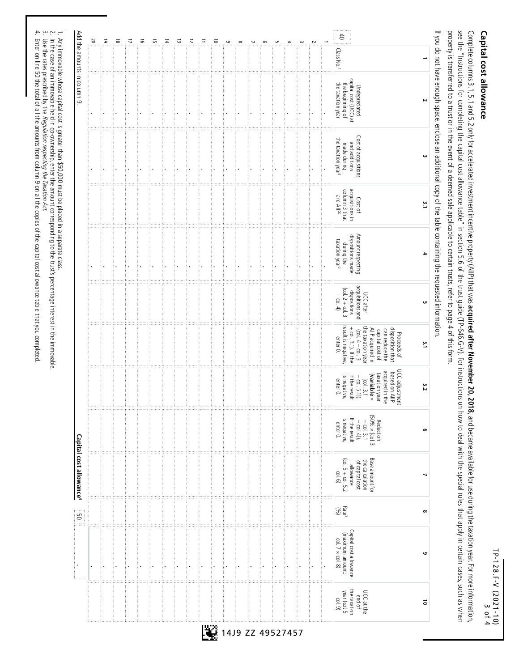TP-128.F-V (2021-10) 19-128.F-V (2021-10)<br>TP-128.F-V (2021-10)

# Capital cost allowance **Capital cost allowance**

see the "Instructions for completing the capital cost allowance table" in section S.6 of the trust guide (TP-646.G-V). For instructions on how to deal with the special rules how to deal with the special rules in sections property is transferred to a trust or in the event of a deemed sale applicable to certain trusts, refer to page 4 of this form. Complete columns 3.1, 5.1 and 5.2 only for accelerated investment incentive propertive property (AllP) that was acquired after November 20, 2018, and became available for use during the taxation year. For more information, property is transferred to a trust or in the event of a deemed sale applicable to certain trusts, refer to page 4 of this form. see the "Instructions for the synch on the special capital cost  $\mu$  in section 5.0 of the atter, in sections on how to deal with the special rules that the special rules that apply in centain cases, such as when apply in  $\epsilon$  only for a  $3.1$ ,  $5.1$  and  $5.2$  only fore property (AIIP) that was  $\epsilon$ **acquired after November 20, 2018**, and became available for use during the taxation year. For more information,

If you do not have encugh space, enclose an additional containing the requested information. If you do not have enough space, enclose an additional copy of the table containing the requested information.

| Add the amounts in column 9.        | $\frac{20}{30}$ | $\vec{6}$ | $\vec{\circ}$ | $\overline{\mathcal{L}}$ | $\vec{5}$ | 뉴 | $\overline{4}$ | ದ | $\overline{z}$ | Ξ | $\vec{0}$ | $\circ$ | $\infty$ | G | G | $\rightarrow$ | ω | $\sim$ | $\frac{4}{6}$<br>Class No. <sup>1</sup>                                                                                                                                                          |  |
|-------------------------------------|-----------------|-----------|---------------|--------------------------|-----------|---|----------------|---|----------------|---|-----------|---------|----------|---|---|---------------|---|--------|--------------------------------------------------------------------------------------------------------------------------------------------------------------------------------------------------|--|
|                                     | ٠               |           |               |                          |           |   |                |   |                |   |           |         |          |   |   |               |   |        | Undepreciated<br>capital cost (UCC) at<br>the beginning of<br>the taxation year                                                                                                                  |  |
|                                     |                 |           |               |                          |           |   |                |   |                |   |           |         |          |   |   |               |   |        | Cost of acquisitions<br>and additions<br>the taxation year <sup>2</sup><br>made during                                                                                                           |  |
|                                     |                 |           |               |                          |           |   |                |   |                |   |           |         |          |   |   |               |   |        | acquisitions in<br>column 3 that<br>are AllP <sup>2</sup><br>Cost of                                                                                                                             |  |
|                                     |                 |           |               |                          |           |   |                |   |                |   |           |         |          |   |   |               |   |        | Amount respecting<br>dispositions made<br>taxation year <sup>2</sup><br>during the                                                                                                               |  |
|                                     |                 |           |               |                          |           |   |                |   |                |   |           |         |          |   |   |               |   |        | acquisitions and<br>$\frac{1}{2}$ (col. 2 + col. 3)<br>dispositions<br>UCC after<br>$-$ col. 4)                                                                                                  |  |
|                                     |                 |           |               |                          |           |   |                |   |                |   |           |         |          |   |   |               |   |        | $+$ col. 3.1). If the<br>result is negative,<br>the taxation year<br>AllP acquired in<br>disposition that<br>can reduce the<br>$(col. 4 - col. 3)$<br>capital cost of<br>Proceeds of<br>enter 0. |  |
|                                     |                 |           |               |                          |           |   |                |   |                |   |           |         |          |   |   |               |   |        | UCC adjustment<br>acquired in the<br>based on AllP<br>taxation year<br>$(\kappa$ ariable $\times$<br>is negative,<br>If the result<br>$\frac{[col. 3.1]}{col. 5.1]}$<br>enter 0.                 |  |
|                                     |                 |           |               |                          |           |   |                |   |                |   |           |         |          |   |   |               |   |        | Reduction<br>$50\% \times [\text{col.} 3]$<br>- col. 3.1<br>- col. 4]).<br>if the result<br>is negative,<br>enter 0.                                                                             |  |
| Capital cost allowance <sup>4</sup> |                 |           |               |                          |           |   |                |   |                |   |           |         |          |   |   |               |   |        | Base amount for<br>$\frac{1}{2}$ (col. 5 + col. 5.2)<br>the calculation<br>of capital cost<br>allowance<br>$-\cot 6$                                                                             |  |
| ္ခြင                                |                 |           |               |                          |           |   |                |   |                |   |           |         |          |   |   |               |   |        | Rate <sup>3</sup>                                                                                                                                                                                |  |
|                                     |                 |           |               |                          |           |   |                |   |                |   |           |         |          |   |   |               |   |        | Capital cost allowance<br>(maximum amount:<br>col. $7 \times$ col. 8)                                                                                                                            |  |
|                                     |                 |           |               |                          |           |   |                |   |                |   |           |         |          |   |   |               |   |        | $UCC$ at the<br>end of<br>the taxation<br>year (col. 5<br>$-$ col. 9)                                                                                                                            |  |

Any immovable whose capital cost is greater than \$50,000 must be placed in a separate class.

 $-$  2.  $\mu$  3.  $-$ In the case of an immovable held in co-ownership, enter the amount corresponding to the trust's percentage interest in the immovable.

Use the rates prescribed by the Regulation respecting the Taxation Act.

Enter on line 50 the total of all the amounts from column 9 on all the copies of the capital cost allowance table that you completed.